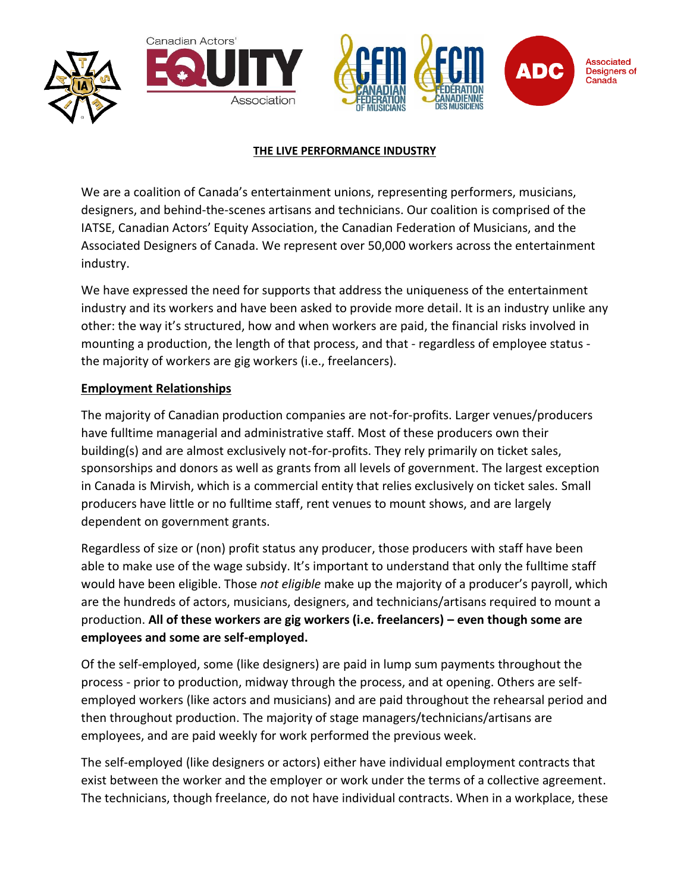





### **THE LIVE PERFORMANCE INDUSTRY**

We are a coalition of Canada's entertainment unions, representing performers, musicians, designers, and behind-the-scenes artisans and technicians. Our coalition is comprised of the IATSE, Canadian Actors' Equity Association, the Canadian Federation of Musicians, and the Associated Designers of Canada. We represent over 50,000 workers across the entertainment industry.

We have expressed the need for supports that address the uniqueness of the entertainment industry and its workers and have been asked to provide more detail. It is an industry unlike any other: the way it's structured, how and when workers are paid, the financial risks involved in mounting a production, the length of that process, and that - regardless of employee status the majority of workers are gig workers (i.e., freelancers).

## **Employment Relationships**

The majority of Canadian production companies are not-for-profits. Larger venues/producers have fulltime managerial and administrative staff. Most of these producers own their building(s) and are almost exclusively not-for-profits. They rely primarily on ticket sales, sponsorships and donors as well as grants from all levels of government. The largest exception in Canada is Mirvish, which is a commercial entity that relies exclusively on ticket sales. Small producers have little or no fulltime staff, rent venues to mount shows, and are largely dependent on government grants.

Regardless of size or (non) profit status any producer, those producers with staff have been able to make use of the wage subsidy. It's important to understand that only the fulltime staff would have been eligible. Those *not eligible* make up the majority of a producer's payroll, which are the hundreds of actors, musicians, designers, and technicians/artisans required to mount a production. **All of these workers are gig workers (i.e. freelancers) – even though some are employees and some are self-employed.**

Of the self-employed, some (like designers) are paid in lump sum payments throughout the process - prior to production, midway through the process, and at opening. Others are selfemployed workers (like actors and musicians) and are paid throughout the rehearsal period and then throughout production. The majority of stage managers/technicians/artisans are employees, and are paid weekly for work performed the previous week.

The self-employed (like designers or actors) either have individual employment contracts that exist between the worker and the employer or work under the terms of a collective agreement. The technicians, though freelance, do not have individual contracts. When in a workplace, these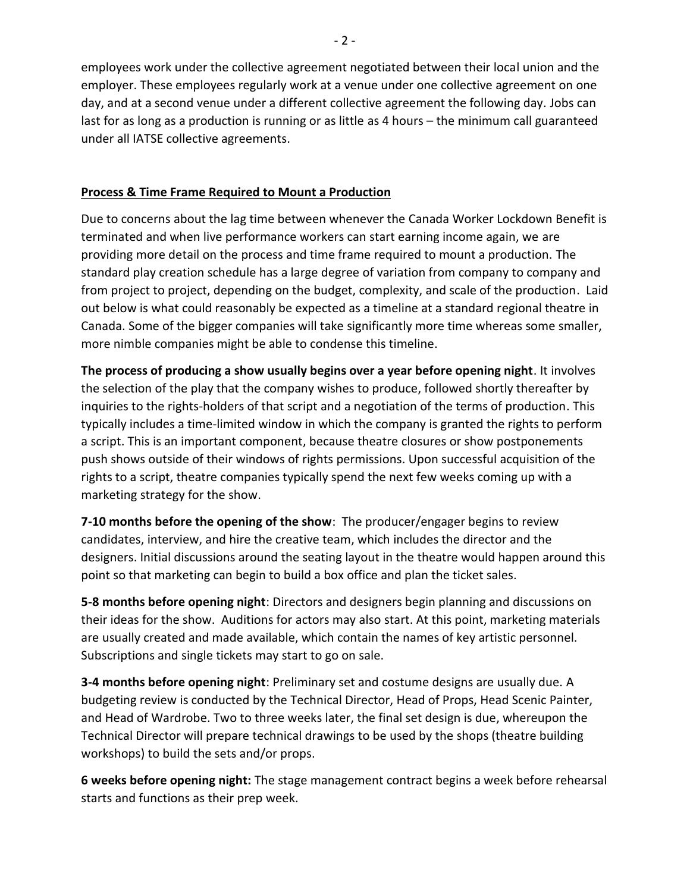employees work under the collective agreement negotiated between their local union and the employer. These employees regularly work at a venue under one collective agreement on one day, and at a second venue under a different collective agreement the following day. Jobs can last for as long as a production is running or as little as 4 hours – the minimum call guaranteed under all IATSE collective agreements.

## **Process & Time Frame Required to Mount a Production**

Due to concerns about the lag time between whenever the Canada Worker Lockdown Benefit is terminated and when live performance workers can start earning income again, we are providing more detail on the process and time frame required to mount a production. The standard play creation schedule has a large degree of variation from company to company and from project to project, depending on the budget, complexity, and scale of the production. Laid out below is what could reasonably be expected as a timeline at a standard regional theatre in Canada. Some of the bigger companies will take significantly more time whereas some smaller, more nimble companies might be able to condense this timeline.

**The process of producing a show usually begins over a year before opening night**. It involves the selection of the play that the company wishes to produce, followed shortly thereafter by inquiries to the rights-holders of that script and a negotiation of the terms of production. This typically includes a time-limited window in which the company is granted the rights to perform a script. This is an important component, because theatre closures or show postponements push shows outside of their windows of rights permissions. Upon successful acquisition of the rights to a script, theatre companies typically spend the next few weeks coming up with a marketing strategy for the show.

**7-10 months before the opening of the show**: The producer/engager begins to review candidates, interview, and hire the creative team, which includes the director and the designers. Initial discussions around the seating layout in the theatre would happen around this point so that marketing can begin to build a box office and plan the ticket sales.

**5-8 months before opening night**: Directors and designers begin planning and discussions on their ideas for the show. Auditions for actors may also start. At this point, marketing materials are usually created and made available, which contain the names of key artistic personnel. Subscriptions and single tickets may start to go on sale.

**3-4 months before opening night**: Preliminary set and costume designs are usually due. A budgeting review is conducted by the Technical Director, Head of Props, Head Scenic Painter, and Head of Wardrobe. Two to three weeks later, the final set design is due, whereupon the Technical Director will prepare technical drawings to be used by the shops (theatre building workshops) to build the sets and/or props.

**6 weeks before opening night:** The stage management contract begins a week before rehearsal starts and functions as their prep week.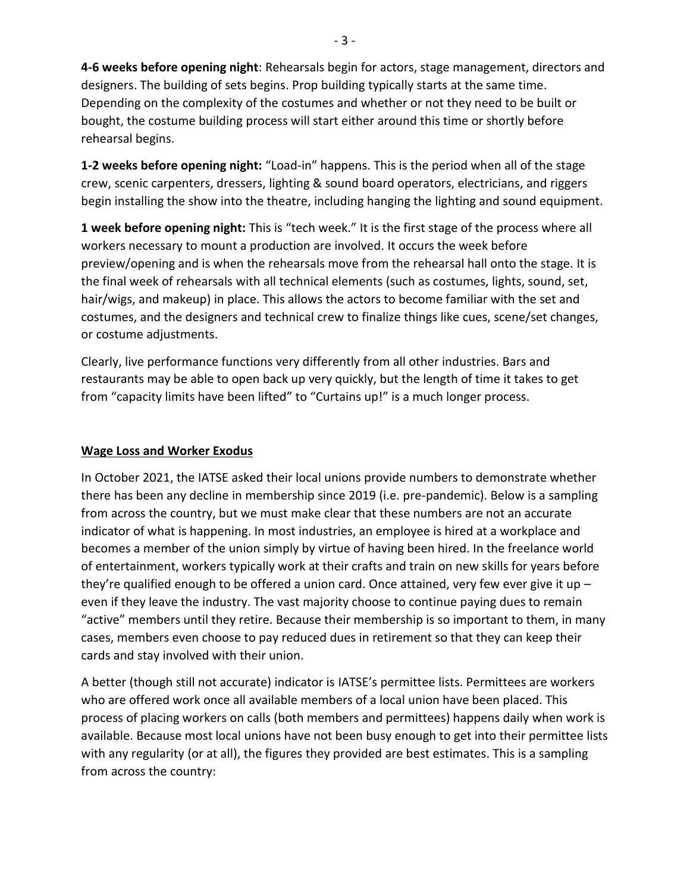**4-6 weeks before opening night**: Rehearsals begin for actors, stage management, directors and designers. The building of sets begins. Prop building typically starts at the same time. Depending on the complexity of the costumes and whether or not they need to be built or bought, the costume building process will start either around this time or shortly before rehearsal begins.

**1-2 weeks before opening night:** "Load-in" happens. This is the period when all of the stage crew, scenic carpenters, dressers, lighting & sound board operators, electricians, and riggers begin installing the show into the theatre, including hanging the lighting and sound equipment.

**1 week before opening night:** This is "tech week." It is the first stage of the process where all workers necessary to mount a production are involved. It occurs the week before preview/opening and is when the rehearsals move from the rehearsal hall onto the stage. It is the final week of rehearsals with all technical elements (such as costumes, lights, sound, set, hair/wigs, and makeup) in place. This allows the actors to become familiar with the set and costumes, and the designers and technical crew to finalize things like cues, scene/set changes, or costume adjustments.

Clearly, live performance functions very differently from all other industries. Bars and restaurants may be able to open back up very quickly, but the length of time it takes to get from "capacity limits have been lifted" to "Curtains up!" is a much longer process.

## **Wage Loss and Worker Exodus**

In October 2021, the IATSE asked their local unions provide numbers to demonstrate whether there has been any decline in membership since 2019 (i.e. pre-pandemic). Below is a sampling from across the country, but we must make clear that these numbers are not an accurate indicator of what is happening. In most industries, an employee is hired at a workplace and becomes a member of the union simply by virtue of having been hired. In the freelance world of entertainment, workers typically work at their crafts and train on new skills for years before they're qualified enough to be offered a union card. Once attained, very few ever give it up  $$ even if they leave the industry. The vast majority choose to continue paying dues to remain "active" members until they retire. Because their membership is so important to them, in many cases, members even choose to pay reduced dues in retirement so that they can keep their cards and stay involved with their union.

A better (though still not accurate) indicator is IATSE's permittee lists. Permittees are workers who are offered work once all available members of a local union have been placed. This process of placing workers on calls (both members and permittees) happens daily when work is available. Because most local unions have not been busy enough to get into their permittee lists with any regularity (or at all), the figures they provided are best estimates. This is a sampling from across the country: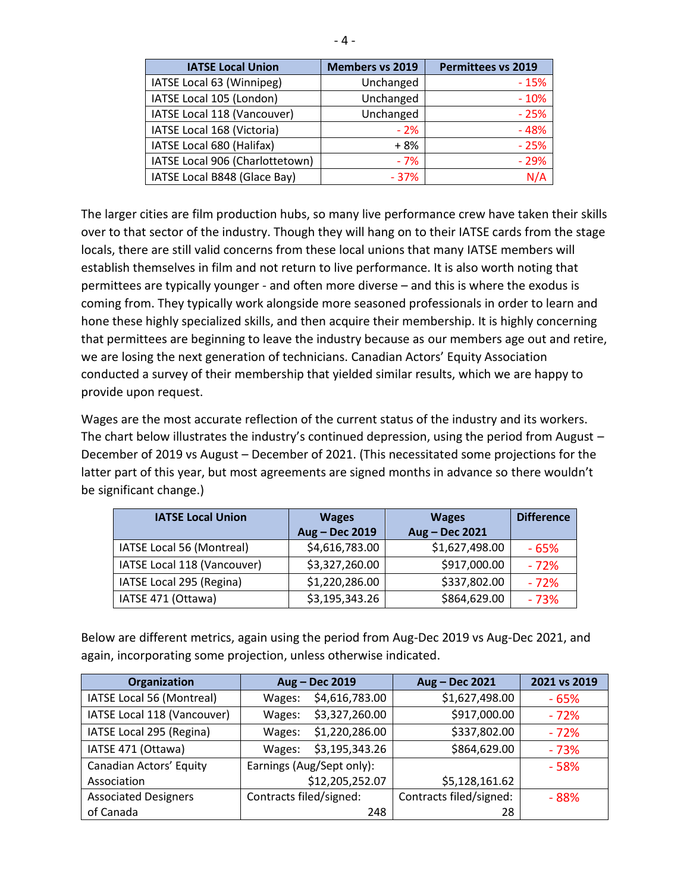| <b>IATSE Local Union</b>        | <b>Members vs 2019</b> | <b>Permittees vs 2019</b> |
|---------------------------------|------------------------|---------------------------|
| IATSE Local 63 (Winnipeg)       | Unchanged              | $-15%$                    |
| IATSE Local 105 (London)        | Unchanged              | $-10%$                    |
| IATSE Local 118 (Vancouver)     | Unchanged              | $-25%$                    |
| IATSE Local 168 (Victoria)      | $-2%$                  | $-48%$                    |
| IATSE Local 680 (Halifax)       | + 8%                   | $-25%$                    |
| IATSE Local 906 (Charlottetown) | $-7%$                  | $-29%$                    |
| IATSE Local B848 (Glace Bay)    | $-37%$                 | N/A                       |

The larger cities are film production hubs, so many live performance crew have taken their skills over to that sector of the industry. Though they will hang on to their IATSE cards from the stage locals, there are still valid concerns from these local unions that many IATSE members will establish themselves in film and not return to live performance. It is also worth noting that permittees are typically younger - and often more diverse – and this is where the exodus is coming from. They typically work alongside more seasoned professionals in order to learn and hone these highly specialized skills, and then acquire their membership. It is highly concerning that permittees are beginning to leave the industry because as our members age out and retire, we are losing the next generation of technicians. Canadian Actors' Equity Association conducted a survey of their membership that yielded similar results, which we are happy to provide upon request.

Wages are the most accurate reflection of the current status of the industry and its workers. The chart below illustrates the industry's continued depression, using the period from August – December of 2019 vs August – December of 2021. (This necessitated some projections for the latter part of this year, but most agreements are signed months in advance so there wouldn't be significant change.)

| <b>IATSE Local Union</b>    | <b>Wages</b>   | <b>Wages</b>   | <b>Difference</b> |
|-----------------------------|----------------|----------------|-------------------|
|                             | Aug - Dec 2019 | Aug - Dec 2021 |                   |
| IATSE Local 56 (Montreal)   | \$4,616,783.00 | \$1,627,498.00 | $-65%$            |
| IATSE Local 118 (Vancouver) | \$3,327,260.00 | \$917,000.00   | $-72%$            |
| IATSE Local 295 (Regina)    | \$1,220,286.00 | \$337,802.00   | $-72%$            |
| IATSE 471 (Ottawa)          | \$3,195,343.26 | \$864,629.00   | $-73%$            |

Below are different metrics, again using the period from Aug-Dec 2019 vs Aug-Dec 2021, and again, incorporating some projection, unless otherwise indicated.

| Organization                | Aug - Dec 2019            |                 | Aug - Dec 2021          | 2021 vs 2019 |
|-----------------------------|---------------------------|-----------------|-------------------------|--------------|
| IATSE Local 56 (Montreal)   | Wages:                    | \$4,616,783.00  | \$1,627,498.00          | $-65%$       |
| IATSE Local 118 (Vancouver) | Wages:                    | \$3,327,260.00  | \$917,000.00            | $-72%$       |
| IATSE Local 295 (Regina)    | Wages:                    | \$1,220,286.00  | \$337,802.00            | $-72%$       |
| IATSE 471 (Ottawa)          | Wages:                    | \$3,195,343.26  | \$864,629.00            | $-73%$       |
| Canadian Actors' Equity     | Earnings (Aug/Sept only): |                 |                         | $-58%$       |
| Association                 |                           | \$12,205,252.07 | \$5,128,161.62          |              |
| <b>Associated Designers</b> | Contracts filed/signed:   |                 | Contracts filed/signed: | $-88%$       |
| of Canada                   |                           | 248             | 28                      |              |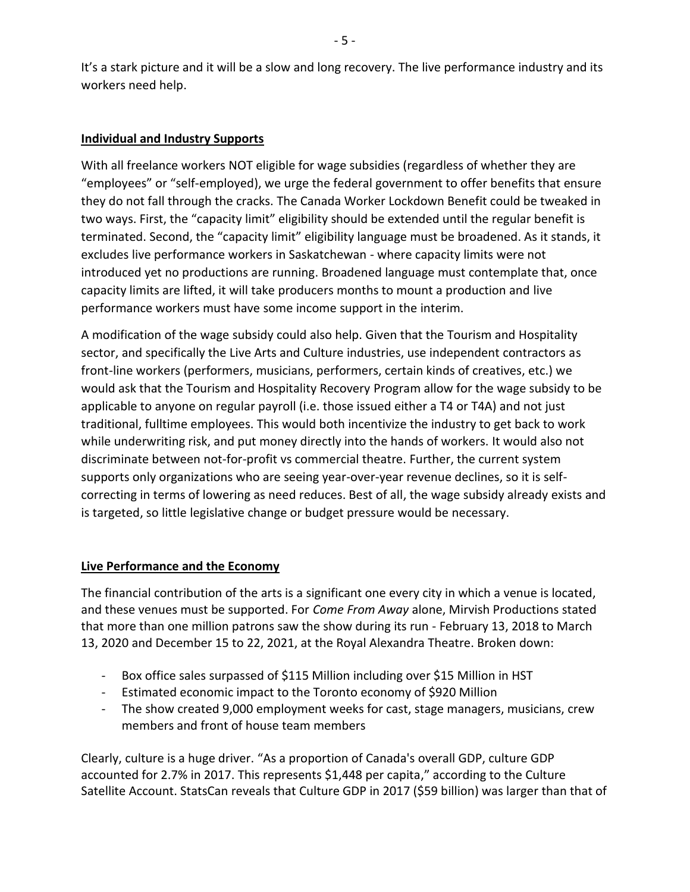It's a stark picture and it will be a slow and long recovery. The live performance industry and its workers need help.

# **Individual and Industry Supports**

With all freelance workers NOT eligible for wage subsidies (regardless of whether they are "employees" or "self-employed), we urge the federal government to offer benefits that ensure they do not fall through the cracks. The Canada Worker Lockdown Benefit could be tweaked in two ways. First, the "capacity limit" eligibility should be extended until the regular benefit is terminated. Second, the "capacity limit" eligibility language must be broadened. As it stands, it excludes live performance workers in Saskatchewan - where capacity limits were not introduced yet no productions are running. Broadened language must contemplate that, once capacity limits are lifted, it will take producers months to mount a production and live performance workers must have some income support in the interim.

A modification of the wage subsidy could also help. Given that the Tourism and Hospitality sector, and specifically the Live Arts and Culture industries, use independent contractors as front-line workers (performers, musicians, performers, certain kinds of creatives, etc.) we would ask that the Tourism and Hospitality Recovery Program allow for the wage subsidy to be applicable to anyone on regular payroll (i.e. those issued either a T4 or T4A) and not just traditional, fulltime employees. This would both incentivize the industry to get back to work while underwriting risk, and put money directly into the hands of workers. It would also not discriminate between not-for-profit vs commercial theatre. Further, the current system supports only organizations who are seeing year-over-year revenue declines, so it is selfcorrecting in terms of lowering as need reduces. Best of all, the wage subsidy already exists and is targeted, so little legislative change or budget pressure would be necessary.

### **Live Performance and the Economy**

The financial contribution of the arts is a significant one every city in which a venue is located, and these venues must be supported. For *Come From Away* alone, Mirvish Productions stated that more than one million patrons saw the show during its run - February 13, 2018 to March 13, 2020 and December 15 to 22, 2021, at the Royal Alexandra Theatre. Broken down:

- Box office sales surpassed of \$115 Million including over \$15 Million in HST
- Estimated economic impact to the Toronto economy of \$920 Million
- The show created 9,000 employment weeks for cast, stage managers, musicians, crew members and front of house team members

Clearly, culture is a huge driver. "As a proportion of Canada's overall GDP, culture GDP accounted for 2.7% in 2017. This represents \$1,448 per capita," according to the Culture Satellite Account. StatsCan reveals that Culture GDP in 2017 (\$59 billion) was larger than that of